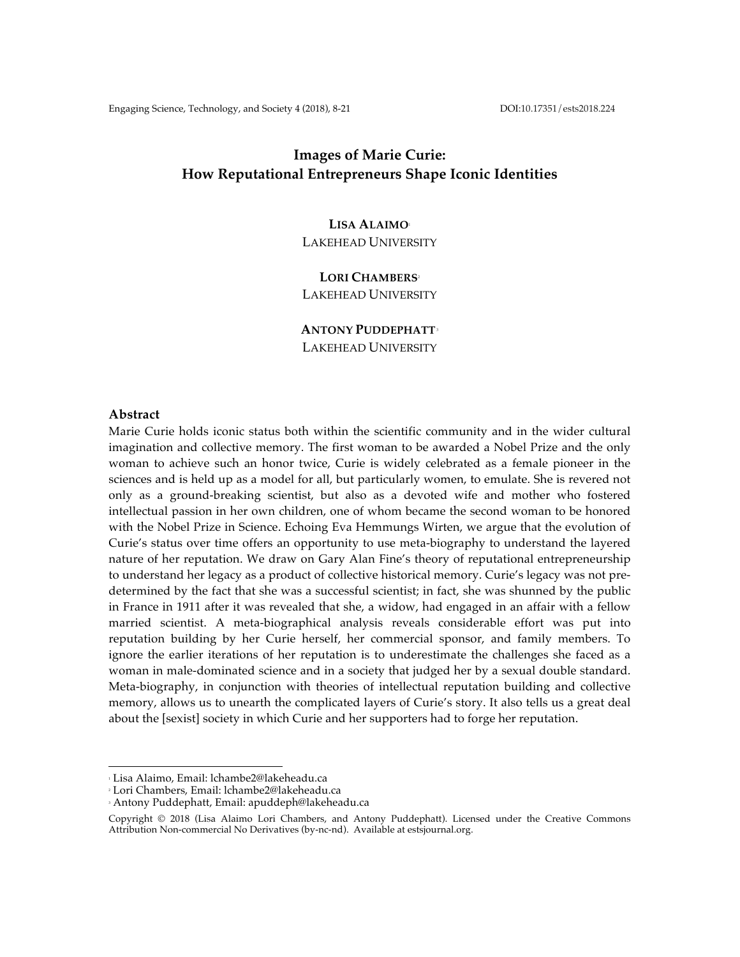# **Images of Marie Curie: How Reputational Entrepreneurs Shape Iconic Identities**

# **LISA ALAIMO**<sup>1</sup>

LAKEHEAD UNIVERSITY

## **LORI CHAMBERS**<sup>2</sup> LAKEHEAD UNIVERSITY

**ANTONY PUDDEPHATT**<sup>3</sup> LAKEHEAD UNIVERSITY

#### **Abstract**

Marie Curie holds iconic status both within the scientific community and in the wider cultural imagination and collective memory. The first woman to be awarded a Nobel Prize and the only woman to achieve such an honor twice, Curie is widely celebrated as a female pioneer in the sciences and is held up as a model for all, but particularly women, to emulate. She is revered not only as a ground-breaking scientist, but also as a devoted wife and mother who fostered intellectual passion in her own children, one of whom became the second woman to be honored with the Nobel Prize in Science. Echoing Eva Hemmungs Wirten, we argue that the evolution of Curie's status over time offers an opportunity to use meta-biography to understand the layered nature of her reputation. We draw on Gary Alan Fine's theory of reputational entrepreneurship to understand her legacy as a product of collective historical memory. Curie's legacy was not predetermined by the fact that she was a successful scientist; in fact, she was shunned by the public in France in 1911 after it was revealed that she, a widow, had engaged in an affair with a fellow married scientist. A meta-biographical analysis reveals considerable effort was put into reputation building by her Curie herself, her commercial sponsor, and family members. To ignore the earlier iterations of her reputation is to underestimate the challenges she faced as a woman in male-dominated science and in a society that judged her by a sexual double standard. Meta-biography, in conjunction with theories of intellectual reputation building and collective memory, allows us to unearth the complicated layers of Curie's story. It also tells us a great deal about the [sexist] society in which Curie and her supporters had to forge her reputation.

 

<sup>1</sup> Lisa Alaimo, Email: lchambe2@lakeheadu.ca

<sup>2</sup> Lori Chambers, Email: lchambe2@lakeheadu.ca

<sup>3</sup> Antony Puddephatt, Email: apuddeph@lakeheadu.ca

Copyright © 2018 (Lisa Alaimo Lori Chambers, and Antony Puddephatt). Licensed under the Creative Commons Attribution Non-commercial No Derivatives (by-nc-nd). Available at estsjournal.org.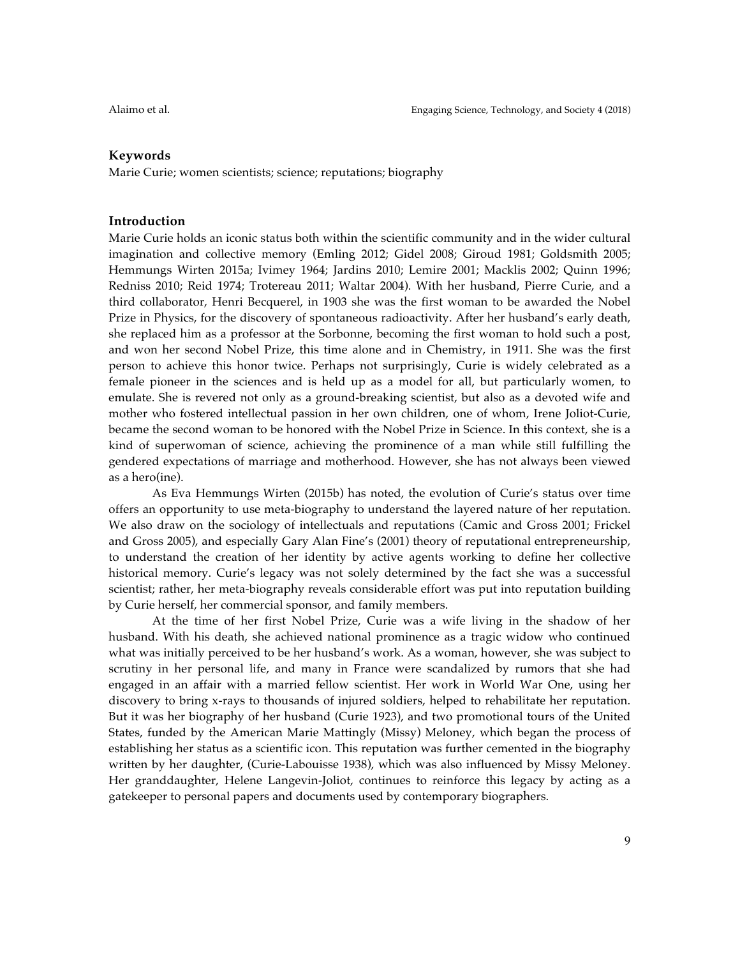### **Keywords**

Marie Curie; women scientists; science; reputations; biography

### **Introduction**

Marie Curie holds an iconic status both within the scientific community and in the wider cultural imagination and collective memory (Emling 2012; Gidel 2008; Giroud 1981; Goldsmith 2005; Hemmungs Wirten 2015a; Ivimey 1964; Jardins 2010; Lemire 2001; Macklis 2002; Quinn 1996; Redniss 2010; Reid 1974; Trotereau 2011; Waltar 2004). With her husband, Pierre Curie, and a third collaborator, Henri Becquerel, in 1903 she was the first woman to be awarded the Nobel Prize in Physics, for the discovery of spontaneous radioactivity. After her husband's early death, she replaced him as a professor at the Sorbonne, becoming the first woman to hold such a post, and won her second Nobel Prize, this time alone and in Chemistry, in 1911. She was the first person to achieve this honor twice. Perhaps not surprisingly, Curie is widely celebrated as a female pioneer in the sciences and is held up as a model for all, but particularly women, to emulate. She is revered not only as a ground-breaking scientist, but also as a devoted wife and mother who fostered intellectual passion in her own children, one of whom, Irene Joliot-Curie, became the second woman to be honored with the Nobel Prize in Science. In this context, she is a kind of superwoman of science, achieving the prominence of a man while still fulfilling the gendered expectations of marriage and motherhood. However, she has not always been viewed as a hero(ine).

As Eva Hemmungs Wirten (2015b) has noted, the evolution of Curie's status over time offers an opportunity to use meta-biography to understand the layered nature of her reputation. We also draw on the sociology of intellectuals and reputations (Camic and Gross 2001; Frickel and Gross 2005), and especially Gary Alan Fine's (2001) theory of reputational entrepreneurship, to understand the creation of her identity by active agents working to define her collective historical memory. Curie's legacy was not solely determined by the fact she was a successful scientist; rather, her meta-biography reveals considerable effort was put into reputation building by Curie herself, her commercial sponsor, and family members.

At the time of her first Nobel Prize, Curie was a wife living in the shadow of her husband. With his death, she achieved national prominence as a tragic widow who continued what was initially perceived to be her husband's work. As a woman, however, she was subject to scrutiny in her personal life, and many in France were scandalized by rumors that she had engaged in an affair with a married fellow scientist. Her work in World War One, using her discovery to bring x-rays to thousands of injured soldiers, helped to rehabilitate her reputation. But it was her biography of her husband (Curie 1923), and two promotional tours of the United States, funded by the American Marie Mattingly (Missy) Meloney, which began the process of establishing her status as a scientific icon. This reputation was further cemented in the biography written by her daughter, (Curie-Labouisse 1938), which was also influenced by Missy Meloney. Her granddaughter, Helene Langevin-Joliot, continues to reinforce this legacy by acting as a gatekeeper to personal papers and documents used by contemporary biographers.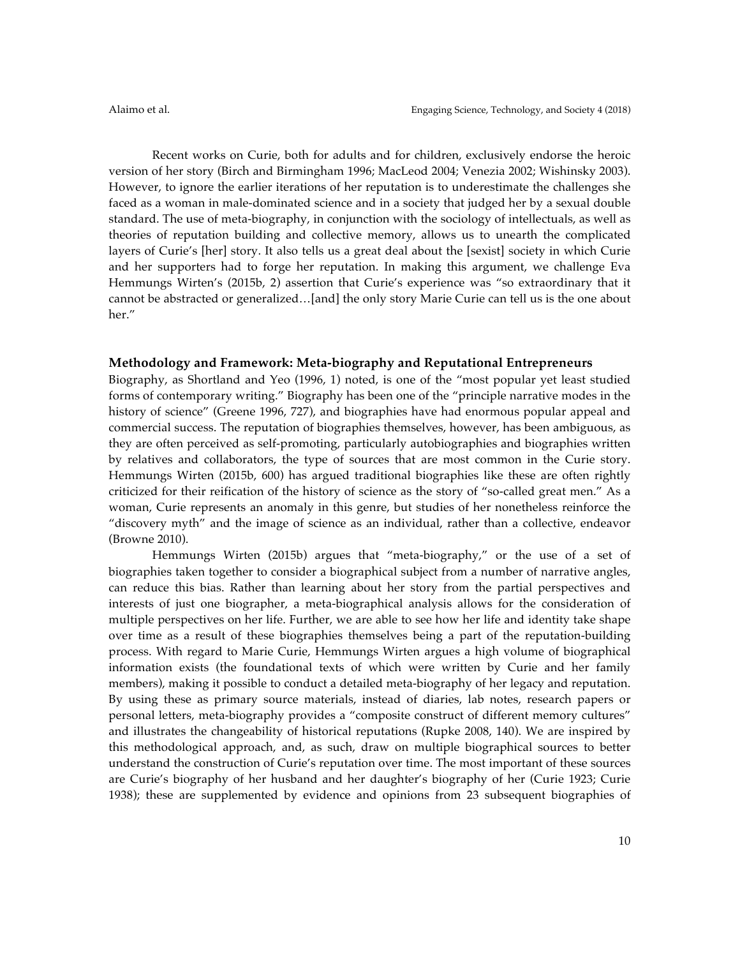Recent works on Curie, both for adults and for children, exclusively endorse the heroic version of her story (Birch and Birmingham 1996; MacLeod 2004; Venezia 2002; Wishinsky 2003). However, to ignore the earlier iterations of her reputation is to underestimate the challenges she faced as a woman in male-dominated science and in a society that judged her by a sexual double standard. The use of meta-biography, in conjunction with the sociology of intellectuals, as well as theories of reputation building and collective memory, allows us to unearth the complicated layers of Curie's [her] story. It also tells us a great deal about the [sexist] society in which Curie and her supporters had to forge her reputation. In making this argument, we challenge Eva Hemmungs Wirten's (2015b, 2) assertion that Curie's experience was "so extraordinary that it cannot be abstracted or generalized…[and] the only story Marie Curie can tell us is the one about her."

#### **Methodology and Framework: Meta-biography and Reputational Entrepreneurs**

Biography, as Shortland and Yeo (1996, 1) noted, is one of the "most popular yet least studied forms of contemporary writing." Biography has been one of the "principle narrative modes in the history of science" (Greene 1996, 727), and biographies have had enormous popular appeal and commercial success. The reputation of biographies themselves, however, has been ambiguous, as they are often perceived as self-promoting, particularly autobiographies and biographies written by relatives and collaborators, the type of sources that are most common in the Curie story. Hemmungs Wirten (2015b, 600) has argued traditional biographies like these are often rightly criticized for their reification of the history of science as the story of "so-called great men." As a woman, Curie represents an anomaly in this genre, but studies of her nonetheless reinforce the "discovery myth" and the image of science as an individual, rather than a collective, endeavor (Browne 2010).

Hemmungs Wirten (2015b) argues that "meta-biography," or the use of a set of biographies taken together to consider a biographical subject from a number of narrative angles, can reduce this bias. Rather than learning about her story from the partial perspectives and interests of just one biographer, a meta-biographical analysis allows for the consideration of multiple perspectives on her life. Further, we are able to see how her life and identity take shape over time as a result of these biographies themselves being a part of the reputation-building process. With regard to Marie Curie, Hemmungs Wirten argues a high volume of biographical information exists (the foundational texts of which were written by Curie and her family members), making it possible to conduct a detailed meta-biography of her legacy and reputation. By using these as primary source materials, instead of diaries, lab notes, research papers or personal letters, meta-biography provides a "composite construct of different memory cultures" and illustrates the changeability of historical reputations (Rupke 2008, 140). We are inspired by this methodological approach, and, as such, draw on multiple biographical sources to better understand the construction of Curie's reputation over time. The most important of these sources are Curie's biography of her husband and her daughter's biography of her (Curie 1923; Curie 1938); these are supplemented by evidence and opinions from 23 subsequent biographies of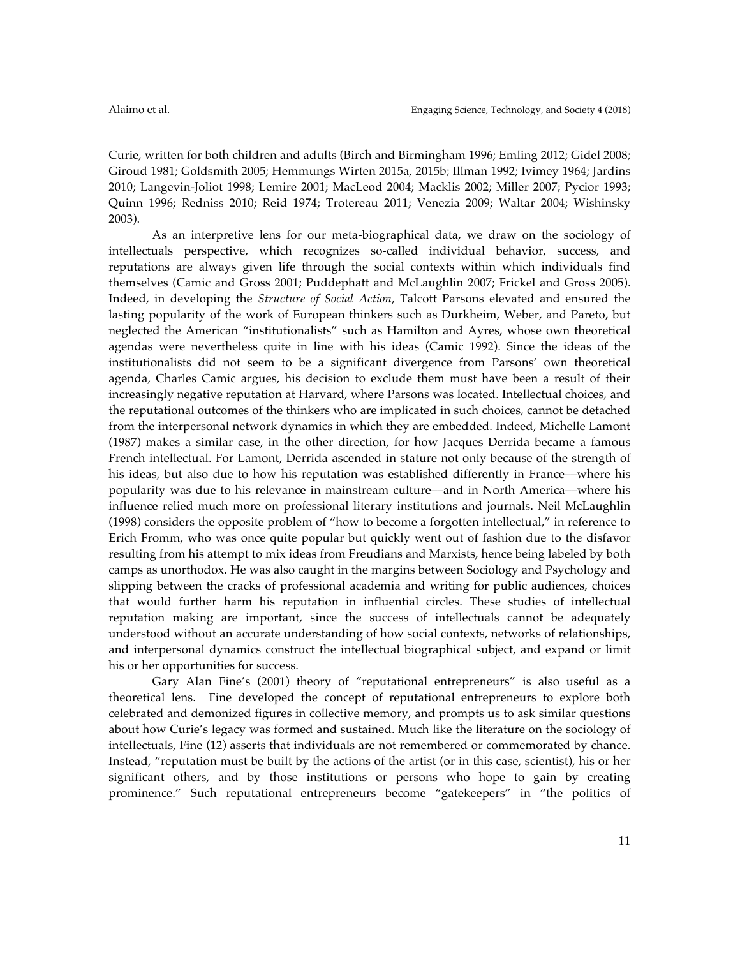Curie, written for both children and adults (Birch and Birmingham 1996; Emling 2012; Gidel 2008; Giroud 1981; Goldsmith 2005; Hemmungs Wirten 2015a, 2015b; Illman 1992; Ivimey 1964; Jardins 2010; Langevin-Joliot 1998; Lemire 2001; MacLeod 2004; Macklis 2002; Miller 2007; Pycior 1993; Quinn 1996; Redniss 2010; Reid 1974; Trotereau 2011; Venezia 2009; Waltar 2004; Wishinsky 2003).

As an interpretive lens for our meta-biographical data, we draw on the sociology of intellectuals perspective, which recognizes so-called individual behavior, success, and reputations are always given life through the social contexts within which individuals find themselves (Camic and Gross 2001; Puddephatt and McLaughlin 2007; Frickel and Gross 2005). Indeed, in developing the *Structure of Social Action*, Talcott Parsons elevated and ensured the lasting popularity of the work of European thinkers such as Durkheim, Weber, and Pareto, but neglected the American "institutionalists" such as Hamilton and Ayres, whose own theoretical agendas were nevertheless quite in line with his ideas (Camic 1992). Since the ideas of the institutionalists did not seem to be a significant divergence from Parsons' own theoretical agenda, Charles Camic argues, his decision to exclude them must have been a result of their increasingly negative reputation at Harvard, where Parsons was located. Intellectual choices, and the reputational outcomes of the thinkers who are implicated in such choices, cannot be detached from the interpersonal network dynamics in which they are embedded. Indeed, Michelle Lamont (1987) makes a similar case, in the other direction, for how Jacques Derrida became a famous French intellectual. For Lamont, Derrida ascended in stature not only because of the strength of his ideas, but also due to how his reputation was established differently in France—where his popularity was due to his relevance in mainstream culture––and in North America––where his influence relied much more on professional literary institutions and journals. Neil McLaughlin (1998) considers the opposite problem of "how to become a forgotten intellectual," in reference to Erich Fromm, who was once quite popular but quickly went out of fashion due to the disfavor resulting from his attempt to mix ideas from Freudians and Marxists, hence being labeled by both camps as unorthodox. He was also caught in the margins between Sociology and Psychology and slipping between the cracks of professional academia and writing for public audiences, choices that would further harm his reputation in influential circles. These studies of intellectual reputation making are important, since the success of intellectuals cannot be adequately understood without an accurate understanding of how social contexts, networks of relationships, and interpersonal dynamics construct the intellectual biographical subject, and expand or limit his or her opportunities for success.

Gary Alan Fine's (2001) theory of "reputational entrepreneurs" is also useful as a theoretical lens. Fine developed the concept of reputational entrepreneurs to explore both celebrated and demonized figures in collective memory, and prompts us to ask similar questions about how Curie's legacy was formed and sustained. Much like the literature on the sociology of intellectuals, Fine (12) asserts that individuals are not remembered or commemorated by chance. Instead, "reputation must be built by the actions of the artist (or in this case, scientist), his or her significant others, and by those institutions or persons who hope to gain by creating prominence." Such reputational entrepreneurs become "gatekeepers" in "the politics of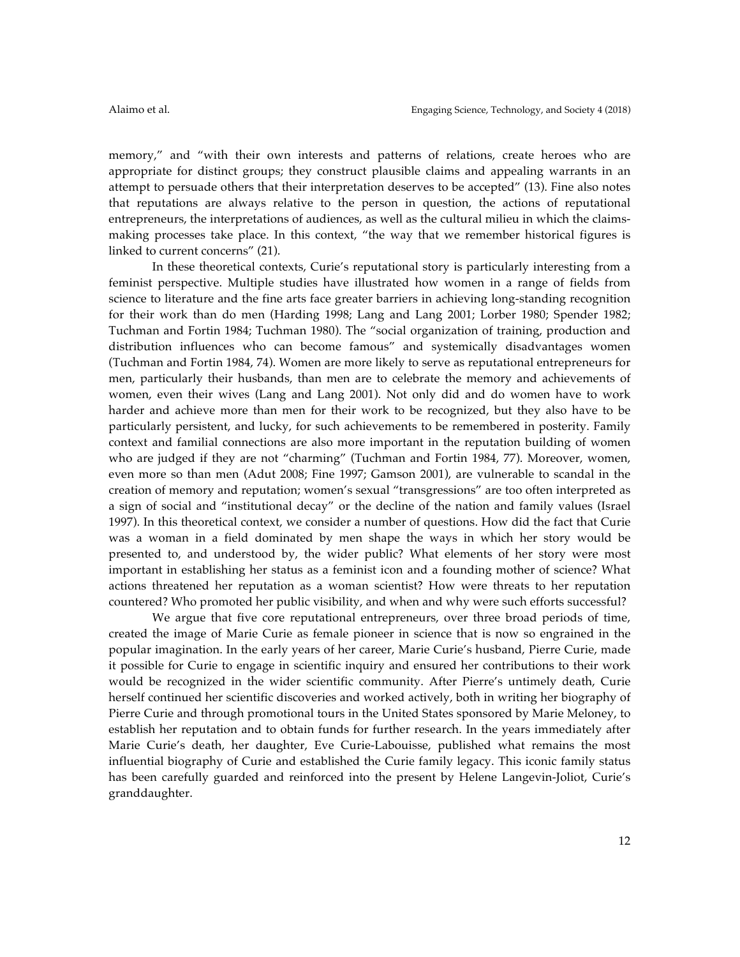memory," and "with their own interests and patterns of relations, create heroes who are appropriate for distinct groups; they construct plausible claims and appealing warrants in an attempt to persuade others that their interpretation deserves to be accepted" (13). Fine also notes that reputations are always relative to the person in question, the actions of reputational entrepreneurs, the interpretations of audiences, as well as the cultural milieu in which the claimsmaking processes take place. In this context, "the way that we remember historical figures is linked to current concerns" (21).

In these theoretical contexts, Curie's reputational story is particularly interesting from a feminist perspective. Multiple studies have illustrated how women in a range of fields from science to literature and the fine arts face greater barriers in achieving long-standing recognition for their work than do men (Harding 1998; Lang and Lang 2001; Lorber 1980; Spender 1982; Tuchman and Fortin 1984; Tuchman 1980). The "social organization of training, production and distribution influences who can become famous" and systemically disadvantages women (Tuchman and Fortin 1984, 74). Women are more likely to serve as reputational entrepreneurs for men, particularly their husbands, than men are to celebrate the memory and achievements of women, even their wives (Lang and Lang 2001). Not only did and do women have to work harder and achieve more than men for their work to be recognized, but they also have to be particularly persistent, and lucky, for such achievements to be remembered in posterity. Family context and familial connections are also more important in the reputation building of women who are judged if they are not "charming" (Tuchman and Fortin 1984, 77). Moreover, women, even more so than men (Adut 2008; Fine 1997; Gamson 2001), are vulnerable to scandal in the creation of memory and reputation; women's sexual "transgressions" are too often interpreted as a sign of social and "institutional decay" or the decline of the nation and family values (Israel 1997). In this theoretical context, we consider a number of questions. How did the fact that Curie was a woman in a field dominated by men shape the ways in which her story would be presented to, and understood by, the wider public? What elements of her story were most important in establishing her status as a feminist icon and a founding mother of science? What actions threatened her reputation as a woman scientist? How were threats to her reputation countered? Who promoted her public visibility, and when and why were such efforts successful?

We argue that five core reputational entrepreneurs, over three broad periods of time, created the image of Marie Curie as female pioneer in science that is now so engrained in the popular imagination. In the early years of her career, Marie Curie's husband, Pierre Curie, made it possible for Curie to engage in scientific inquiry and ensured her contributions to their work would be recognized in the wider scientific community. After Pierre's untimely death, Curie herself continued her scientific discoveries and worked actively, both in writing her biography of Pierre Curie and through promotional tours in the United States sponsored by Marie Meloney, to establish her reputation and to obtain funds for further research. In the years immediately after Marie Curie's death, her daughter, Eve Curie-Labouisse, published what remains the most influential biography of Curie and established the Curie family legacy. This iconic family status has been carefully guarded and reinforced into the present by Helene Langevin-Joliot, Curie's granddaughter.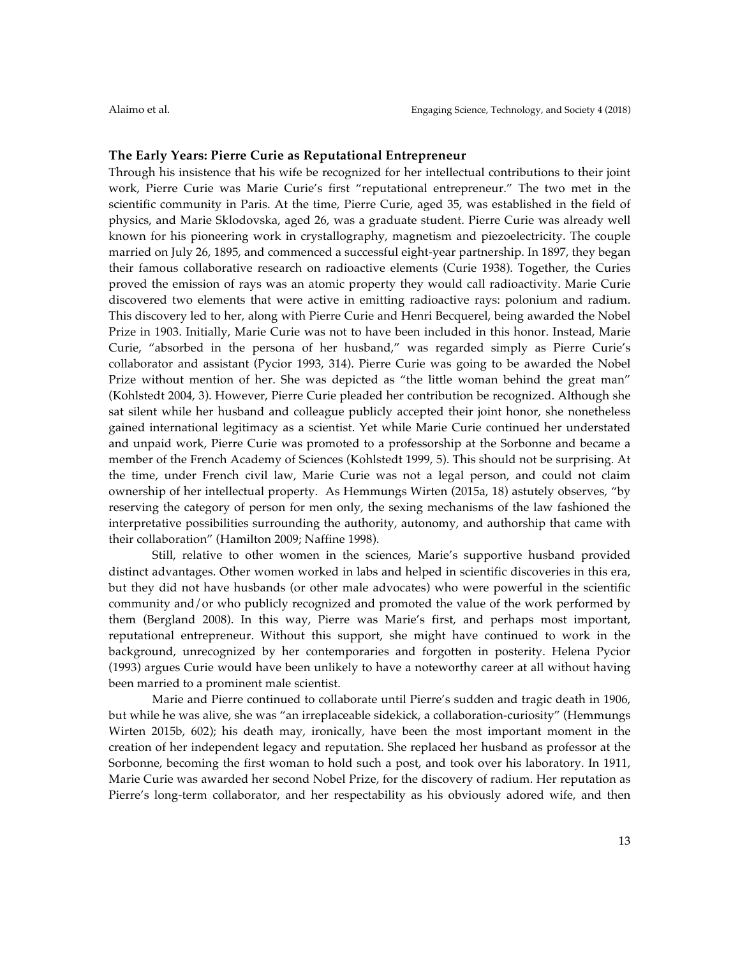#### **The Early Years: Pierre Curie as Reputational Entrepreneur**

Through his insistence that his wife be recognized for her intellectual contributions to their joint work, Pierre Curie was Marie Curie's first "reputational entrepreneur." The two met in the scientific community in Paris. At the time, Pierre Curie, aged 35, was established in the field of physics, and Marie Sklodovska, aged 26, was a graduate student. Pierre Curie was already well known for his pioneering work in crystallography, magnetism and piezoelectricity. The couple married on July 26, 1895, and commenced a successful eight-year partnership. In 1897, they began their famous collaborative research on radioactive elements (Curie 1938). Together, the Curies proved the emission of rays was an atomic property they would call radioactivity. Marie Curie discovered two elements that were active in emitting radioactive rays: polonium and radium. This discovery led to her, along with Pierre Curie and Henri Becquerel, being awarded the Nobel Prize in 1903. Initially, Marie Curie was not to have been included in this honor. Instead, Marie Curie, "absorbed in the persona of her husband," was regarded simply as Pierre Curie's collaborator and assistant (Pycior 1993, 314). Pierre Curie was going to be awarded the Nobel Prize without mention of her. She was depicted as "the little woman behind the great man" (Kohlstedt 2004, 3). However, Pierre Curie pleaded her contribution be recognized. Although she sat silent while her husband and colleague publicly accepted their joint honor, she nonetheless gained international legitimacy as a scientist. Yet while Marie Curie continued her understated and unpaid work, Pierre Curie was promoted to a professorship at the Sorbonne and became a member of the French Academy of Sciences (Kohlstedt 1999, 5). This should not be surprising. At the time, under French civil law, Marie Curie was not a legal person, and could not claim ownership of her intellectual property. As Hemmungs Wirten (2015a, 18) astutely observes, "by reserving the category of person for men only, the sexing mechanisms of the law fashioned the interpretative possibilities surrounding the authority, autonomy, and authorship that came with their collaboration" (Hamilton 2009; Naffine 1998).

Still, relative to other women in the sciences, Marie's supportive husband provided distinct advantages. Other women worked in labs and helped in scientific discoveries in this era, but they did not have husbands (or other male advocates) who were powerful in the scientific community and/or who publicly recognized and promoted the value of the work performed by them (Bergland 2008). In this way, Pierre was Marie's first, and perhaps most important, reputational entrepreneur. Without this support, she might have continued to work in the background, unrecognized by her contemporaries and forgotten in posterity. Helena Pycior (1993) argues Curie would have been unlikely to have a noteworthy career at all without having been married to a prominent male scientist.

Marie and Pierre continued to collaborate until Pierre's sudden and tragic death in 1906, but while he was alive, she was "an irreplaceable sidekick, a collaboration-curiosity" (Hemmungs Wirten 2015b, 602); his death may, ironically, have been the most important moment in the creation of her independent legacy and reputation. She replaced her husband as professor at the Sorbonne, becoming the first woman to hold such a post, and took over his laboratory. In 1911, Marie Curie was awarded her second Nobel Prize, for the discovery of radium. Her reputation as Pierre's long-term collaborator, and her respectability as his obviously adored wife, and then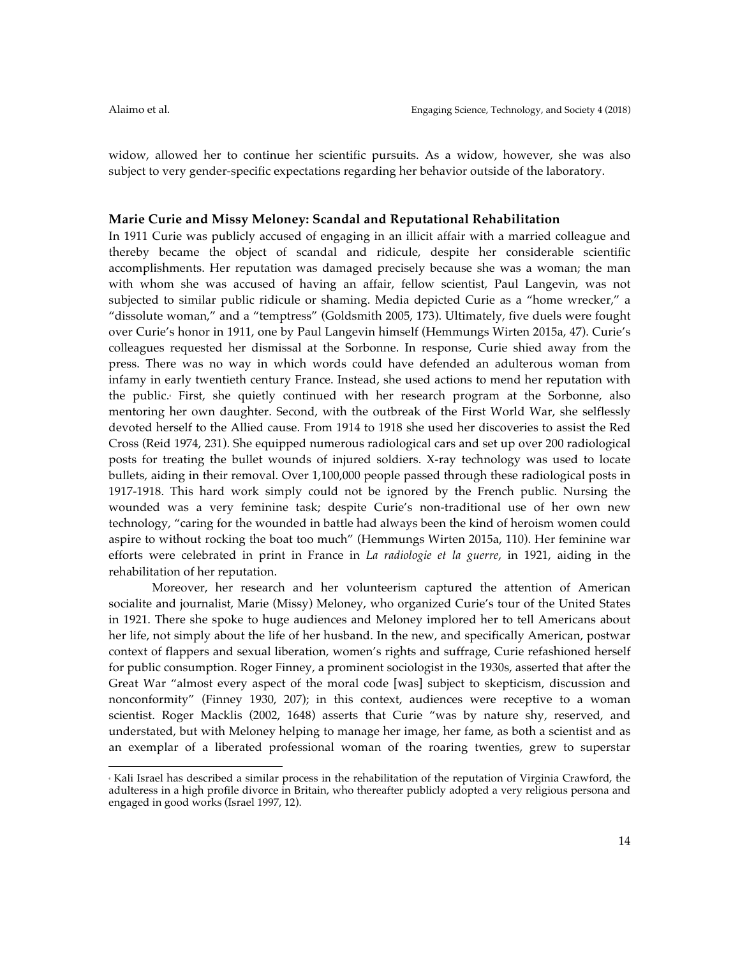widow, allowed her to continue her scientific pursuits. As a widow, however, she was also subject to very gender-specific expectations regarding her behavior outside of the laboratory.

#### **Marie Curie and Missy Meloney: Scandal and Reputational Rehabilitation**

In 1911 Curie was publicly accused of engaging in an illicit affair with a married colleague and thereby became the object of scandal and ridicule, despite her considerable scientific accomplishments. Her reputation was damaged precisely because she was a woman; the man with whom she was accused of having an affair, fellow scientist, Paul Langevin, was not subjected to similar public ridicule or shaming. Media depicted Curie as a "home wrecker," a "dissolute woman," and a "temptress" (Goldsmith 2005, 173). Ultimately, five duels were fought over Curie's honor in 1911, one by Paul Langevin himself (Hemmungs Wirten 2015a, 47). Curie's colleagues requested her dismissal at the Sorbonne. In response, Curie shied away from the press. There was no way in which words could have defended an adulterous woman from infamy in early twentieth century France. Instead, she used actions to mend her reputation with the public.<sup>4</sup> First, she quietly continued with her research program at the Sorbonne, also mentoring her own daughter. Second, with the outbreak of the First World War, she selflessly devoted herself to the Allied cause. From 1914 to 1918 she used her discoveries to assist the Red Cross (Reid 1974, 231). She equipped numerous radiological cars and set up over 200 radiological posts for treating the bullet wounds of injured soldiers. X-ray technology was used to locate bullets, aiding in their removal. Over 1,100,000 people passed through these radiological posts in 1917-1918. This hard work simply could not be ignored by the French public. Nursing the wounded was a very feminine task; despite Curie's non-traditional use of her own new technology, "caring for the wounded in battle had always been the kind of heroism women could aspire to without rocking the boat too much" (Hemmungs Wirten 2015a, 110). Her feminine war efforts were celebrated in print in France in *La radiologie et la guerre*, in 1921, aiding in the rehabilitation of her reputation.

Moreover, her research and her volunteerism captured the attention of American socialite and journalist, Marie (Missy) Meloney, who organized Curie's tour of the United States in 1921. There she spoke to huge audiences and Meloney implored her to tell Americans about her life, not simply about the life of her husband. In the new, and specifically American, postwar context of flappers and sexual liberation, women's rights and suffrage, Curie refashioned herself for public consumption. Roger Finney, a prominent sociologist in the 1930s, asserted that after the Great War "almost every aspect of the moral code [was] subject to skepticism, discussion and nonconformity" (Finney 1930, 207); in this context, audiences were receptive to a woman scientist. Roger Macklis (2002, 1648) asserts that Curie "was by nature shy, reserved, and understated, but with Meloney helping to manage her image, her fame, as both a scientist and as an exemplar of a liberated professional woman of the roaring twenties, grew to superstar

 

<sup>4</sup> Kali Israel has described a similar process in the rehabilitation of the reputation of Virginia Crawford, the adulteress in a high profile divorce in Britain, who thereafter publicly adopted a very religious persona and engaged in good works (Israel 1997, 12).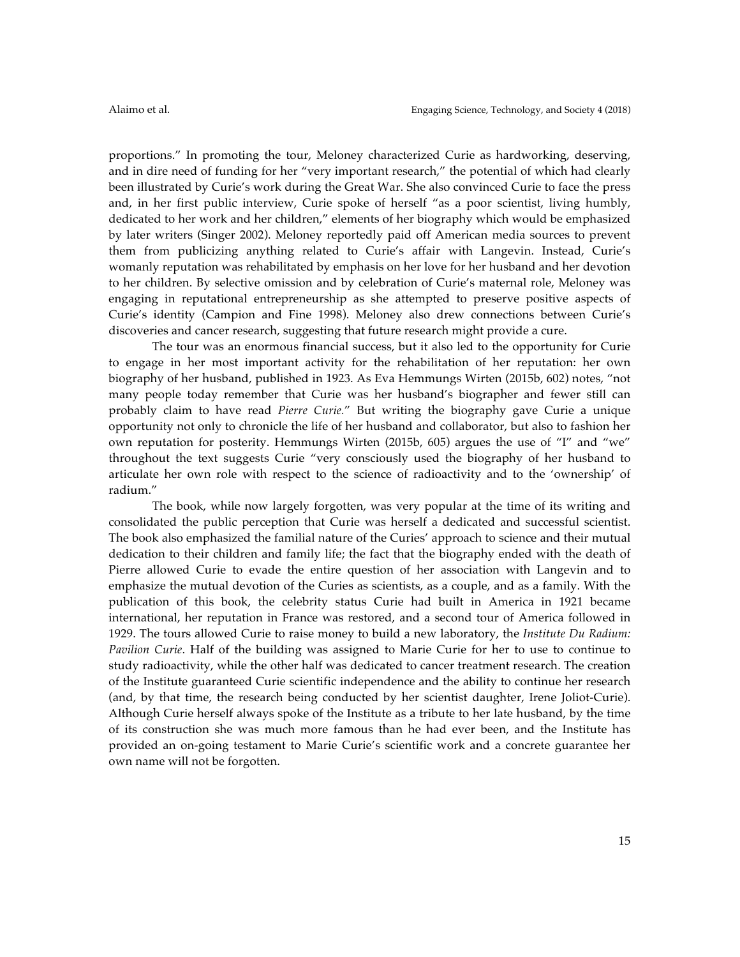proportions." In promoting the tour, Meloney characterized Curie as hardworking, deserving, and in dire need of funding for her "very important research," the potential of which had clearly been illustrated by Curie's work during the Great War. She also convinced Curie to face the press and, in her first public interview, Curie spoke of herself "as a poor scientist, living humbly, dedicated to her work and her children," elements of her biography which would be emphasized by later writers (Singer 2002). Meloney reportedly paid off American media sources to prevent them from publicizing anything related to Curie's affair with Langevin. Instead, Curie's womanly reputation was rehabilitated by emphasis on her love for her husband and her devotion to her children. By selective omission and by celebration of Curie's maternal role, Meloney was engaging in reputational entrepreneurship as she attempted to preserve positive aspects of Curie's identity (Campion and Fine 1998). Meloney also drew connections between Curie's discoveries and cancer research, suggesting that future research might provide a cure.

The tour was an enormous financial success, but it also led to the opportunity for Curie to engage in her most important activity for the rehabilitation of her reputation: her own biography of her husband, published in 1923. As Eva Hemmungs Wirten (2015b, 602) notes, "not many people today remember that Curie was her husband's biographer and fewer still can probably claim to have read *Pierre Curie.*" But writing the biography gave Curie a unique opportunity not only to chronicle the life of her husband and collaborator, but also to fashion her own reputation for posterity. Hemmungs Wirten (2015b, 605) argues the use of "I" and "we" throughout the text suggests Curie "very consciously used the biography of her husband to articulate her own role with respect to the science of radioactivity and to the 'ownership' of radium."

The book, while now largely forgotten, was very popular at the time of its writing and consolidated the public perception that Curie was herself a dedicated and successful scientist. The book also emphasized the familial nature of the Curies' approach to science and their mutual dedication to their children and family life; the fact that the biography ended with the death of Pierre allowed Curie to evade the entire question of her association with Langevin and to emphasize the mutual devotion of the Curies as scientists, as a couple, and as a family. With the publication of this book, the celebrity status Curie had built in America in 1921 became international, her reputation in France was restored, and a second tour of America followed in 1929. The tours allowed Curie to raise money to build a new laboratory, the *Institute Du Radium: Pavilion Curie*. Half of the building was assigned to Marie Curie for her to use to continue to study radioactivity, while the other half was dedicated to cancer treatment research. The creation of the Institute guaranteed Curie scientific independence and the ability to continue her research (and, by that time, the research being conducted by her scientist daughter, Irene Joliot-Curie). Although Curie herself always spoke of the Institute as a tribute to her late husband, by the time of its construction she was much more famous than he had ever been, and the Institute has provided an on-going testament to Marie Curie's scientific work and a concrete guarantee her own name will not be forgotten.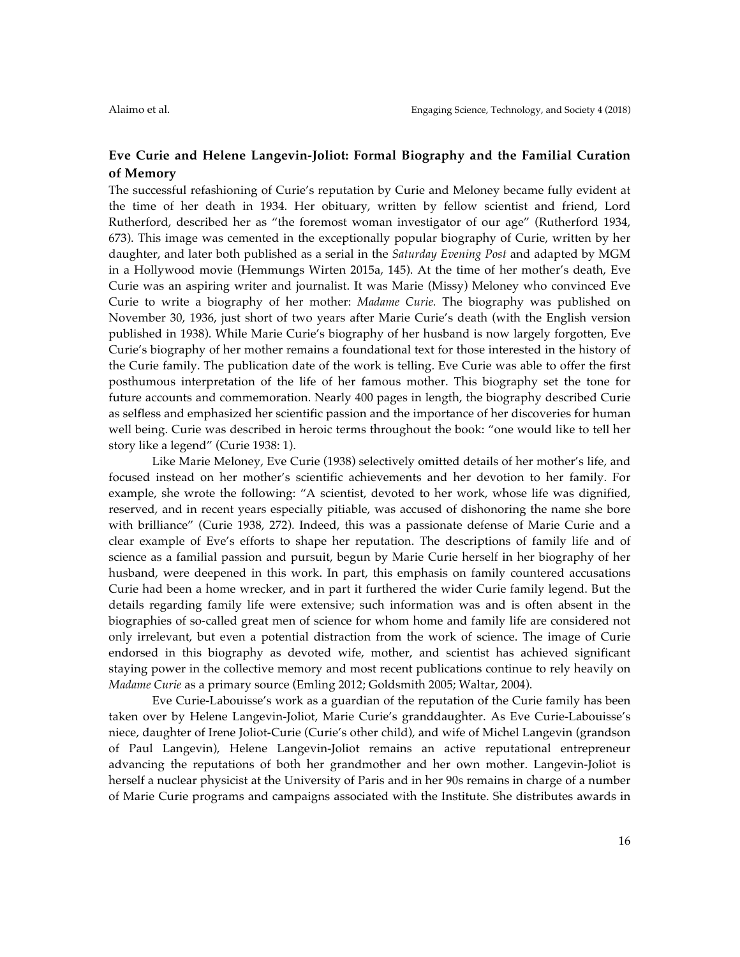# **Eve Curie and Helene Langevin-Joliot: Formal Biography and the Familial Curation of Memory**

The successful refashioning of Curie's reputation by Curie and Meloney became fully evident at the time of her death in 1934. Her obituary, written by fellow scientist and friend, Lord Rutherford, described her as "the foremost woman investigator of our age" (Rutherford 1934, 673). This image was cemented in the exceptionally popular biography of Curie, written by her daughter, and later both published as a serial in the *Saturday Evening Post* and adapted by MGM in a Hollywood movie (Hemmungs Wirten 2015a, 145). At the time of her mother's death, Eve Curie was an aspiring writer and journalist. It was Marie (Missy) Meloney who convinced Eve Curie to write a biography of her mother: *Madame Curie.* The biography was published on November 30, 1936, just short of two years after Marie Curie's death (with the English version published in 1938). While Marie Curie's biography of her husband is now largely forgotten, Eve Curie's biography of her mother remains a foundational text for those interested in the history of the Curie family. The publication date of the work is telling. Eve Curie was able to offer the first posthumous interpretation of the life of her famous mother. This biography set the tone for future accounts and commemoration. Nearly 400 pages in length, the biography described Curie as selfless and emphasized her scientific passion and the importance of her discoveries for human well being. Curie was described in heroic terms throughout the book: "one would like to tell her story like a legend" (Curie 1938: 1).

Like Marie Meloney, Eve Curie (1938) selectively omitted details of her mother's life, and focused instead on her mother's scientific achievements and her devotion to her family. For example, she wrote the following: "A scientist, devoted to her work, whose life was dignified, reserved, and in recent years especially pitiable, was accused of dishonoring the name she bore with brilliance" (Curie 1938, 272). Indeed, this was a passionate defense of Marie Curie and a clear example of Eve's efforts to shape her reputation. The descriptions of family life and of science as a familial passion and pursuit, begun by Marie Curie herself in her biography of her husband, were deepened in this work. In part, this emphasis on family countered accusations Curie had been a home wrecker, and in part it furthered the wider Curie family legend. But the details regarding family life were extensive; such information was and is often absent in the biographies of so-called great men of science for whom home and family life are considered not only irrelevant, but even a potential distraction from the work of science. The image of Curie endorsed in this biography as devoted wife, mother, and scientist has achieved significant staying power in the collective memory and most recent publications continue to rely heavily on *Madame Curie* as a primary source (Emling 2012; Goldsmith 2005; Waltar, 2004).

Eve Curie-Labouisse's work as a guardian of the reputation of the Curie family has been taken over by Helene Langevin-Joliot, Marie Curie's granddaughter. As Eve Curie-Labouisse's niece, daughter of Irene Joliot-Curie (Curie's other child), and wife of Michel Langevin (grandson of Paul Langevin), Helene Langevin-Joliot remains an active reputational entrepreneur advancing the reputations of both her grandmother and her own mother. Langevin-Joliot is herself a nuclear physicist at the University of Paris and in her 90s remains in charge of a number of Marie Curie programs and campaigns associated with the Institute. She distributes awards in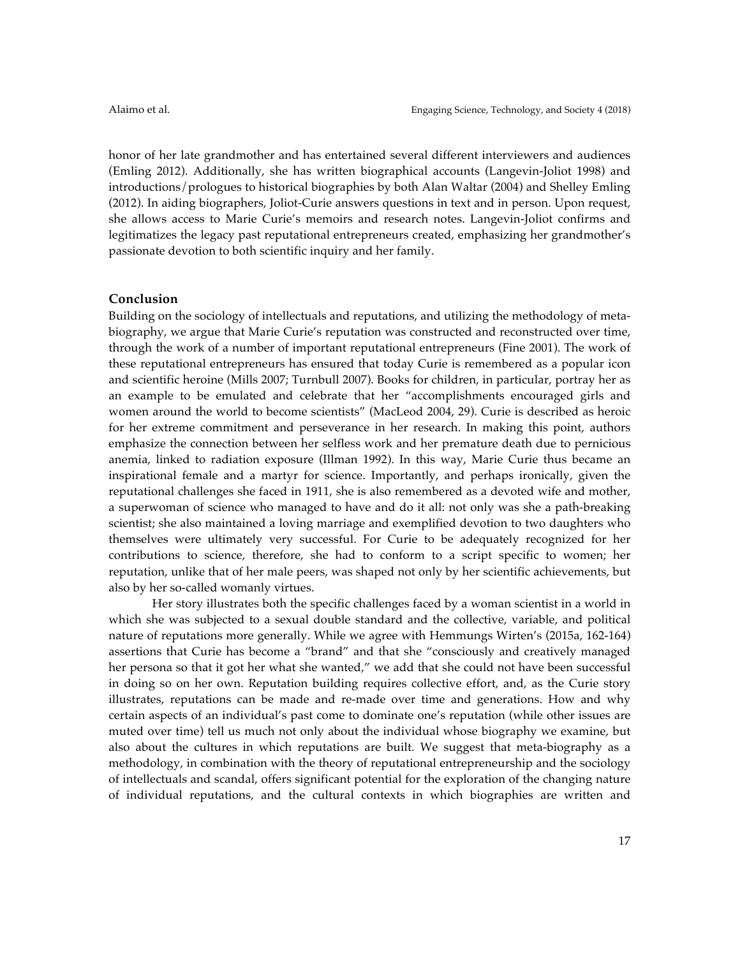honor of her late grandmother and has entertained several different interviewers and audiences (Emling 2012). Additionally, she has written biographical accounts (Langevin-Joliot 1998) and introductions/prologues to historical biographies by both Alan Waltar (2004) and Shelley Emling (2012). In aiding biographers, Joliot-Curie answers questions in text and in person. Upon request, she allows access to Marie Curie's memoirs and research notes. Langevin-Joliot confirms and legitimatizes the legacy past reputational entrepreneurs created, emphasizing her grandmother's passionate devotion to both scientific inquiry and her family.

### **Conclusion**

Building on the sociology of intellectuals and reputations, and utilizing the methodology of metabiography, we argue that Marie Curie's reputation was constructed and reconstructed over time, through the work of a number of important reputational entrepreneurs (Fine 2001). The work of these reputational entrepreneurs has ensured that today Curie is remembered as a popular icon and scientific heroine (Mills 2007; Turnbull 2007). Books for children, in particular, portray her as an example to be emulated and celebrate that her "accomplishments encouraged girls and women around the world to become scientists" (MacLeod 2004, 29). Curie is described as heroic for her extreme commitment and perseverance in her research. In making this point, authors emphasize the connection between her selfless work and her premature death due to pernicious anemia, linked to radiation exposure (Illman 1992). In this way, Marie Curie thus became an inspirational female and a martyr for science. Importantly, and perhaps ironically, given the reputational challenges she faced in 1911, she is also remembered as a devoted wife and mother, a superwoman of science who managed to have and do it all: not only was she a path-breaking scientist; she also maintained a loving marriage and exemplified devotion to two daughters who themselves were ultimately very successful. For Curie to be adequately recognized for her contributions to science, therefore, she had to conform to a script specific to women; her reputation, unlike that of her male peers, was shaped not only by her scientific achievements, but also by her so-called womanly virtues.

Her story illustrates both the specific challenges faced by a woman scientist in a world in which she was subjected to a sexual double standard and the collective, variable, and political nature of reputations more generally. While we agree with Hemmungs Wirten's (2015a, 162-164) assertions that Curie has become a "brand" and that she "consciously and creatively managed her persona so that it got her what she wanted," we add that she could not have been successful in doing so on her own. Reputation building requires collective effort, and, as the Curie story illustrates, reputations can be made and re-made over time and generations. How and why certain aspects of an individual's past come to dominate one's reputation (while other issues are muted over time) tell us much not only about the individual whose biography we examine, but also about the cultures in which reputations are built. We suggest that meta-biography as a methodology, in combination with the theory of reputational entrepreneurship and the sociology of intellectuals and scandal, offers significant potential for the exploration of the changing nature of individual reputations, and the cultural contexts in which biographies are written and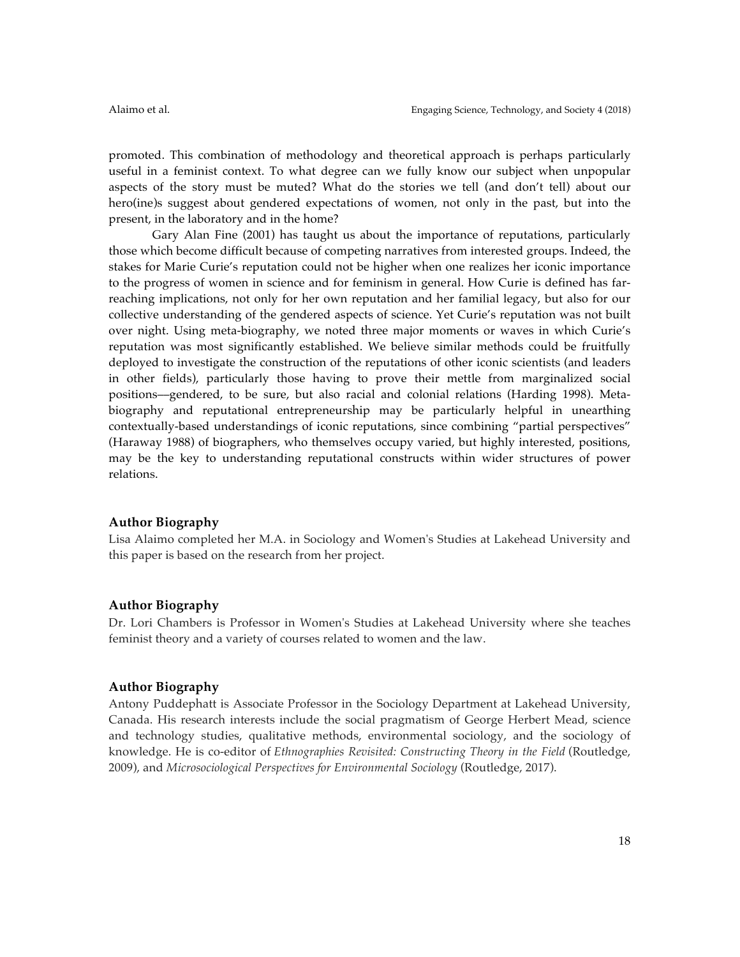promoted. This combination of methodology and theoretical approach is perhaps particularly useful in a feminist context. To what degree can we fully know our subject when unpopular aspects of the story must be muted? What do the stories we tell (and don't tell) about our hero(ine)s suggest about gendered expectations of women, not only in the past, but into the present, in the laboratory and in the home?

Gary Alan Fine (2001) has taught us about the importance of reputations, particularly those which become difficult because of competing narratives from interested groups. Indeed, the stakes for Marie Curie's reputation could not be higher when one realizes her iconic importance to the progress of women in science and for feminism in general. How Curie is defined has farreaching implications, not only for her own reputation and her familial legacy, but also for our collective understanding of the gendered aspects of science. Yet Curie's reputation was not built over night. Using meta-biography, we noted three major moments or waves in which Curie's reputation was most significantly established. We believe similar methods could be fruitfully deployed to investigate the construction of the reputations of other iconic scientists (and leaders in other fields), particularly those having to prove their mettle from marginalized social positions––gendered, to be sure, but also racial and colonial relations (Harding 1998). Metabiography and reputational entrepreneurship may be particularly helpful in unearthing contextually-based understandings of iconic reputations, since combining "partial perspectives" (Haraway 1988) of biographers, who themselves occupy varied, but highly interested, positions, may be the key to understanding reputational constructs within wider structures of power relations.

### **Author Biography**

Lisa Alaimo completed her M.A. in Sociology and Women's Studies at Lakehead University and this paper is based on the research from her project.

#### **Author Biography**

Dr. Lori Chambers is Professor in Women's Studies at Lakehead University where she teaches feminist theory and a variety of courses related to women and the law.

### **Author Biography**

Antony Puddephatt is Associate Professor in the Sociology Department at Lakehead University, Canada. His research interests include the social pragmatism of George Herbert Mead, science and technology studies, qualitative methods, environmental sociology, and the sociology of knowledge. He is co-editor of *Ethnographies Revisited: Constructing Theory in the Field* (Routledge, 2009), and *Microsociological Perspectives for Environmental Sociology* (Routledge, 2017).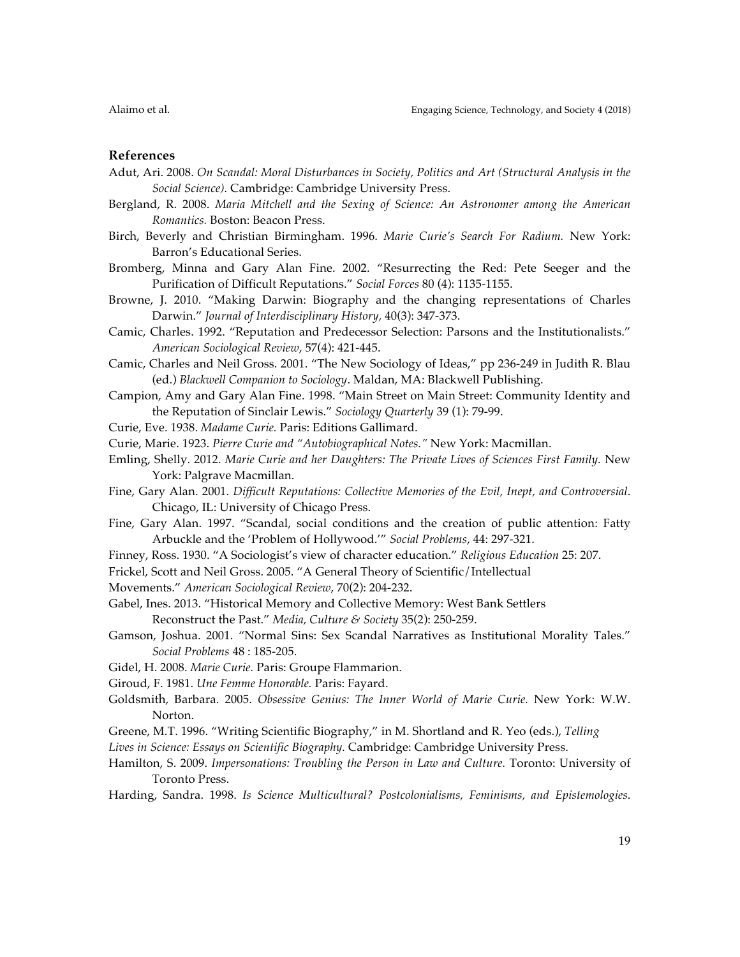### **References**

- Adut, Ari. 2008. *On Scandal: Moral Disturbances in Society, Politics and Art (Structural Analysis in the Social Science).* Cambridge: Cambridge University Press.
- Bergland, R. 2008. *Maria Mitchell and the Sexing of Science: An Astronomer among the American Romantics.* Boston: Beacon Press.
- Birch, Beverly and Christian Birmingham. 1996. *Marie Curie's Search For Radium.* New York: Barron's Educational Series.
- Bromberg, Minna and Gary Alan Fine. 2002. "Resurrecting the Red: Pete Seeger and the Purification of Difficult Reputations." *Social Forces* 80 (4): 1135-1155.
- Browne, J. 2010. "Making Darwin: Biography and the changing representations of Charles Darwin." *Journal of Interdisciplinary History,* 40(3): 347-373.
- Camic, Charles. 1992. "Reputation and Predecessor Selection: Parsons and the Institutionalists." *American Sociological Review*, 57(4): 421-445.
- Camic, Charles and Neil Gross. 2001. "The New Sociology of Ideas," pp 236-249 in Judith R. Blau (ed.) *Blackwell Companion to Sociology*. Maldan, MA: Blackwell Publishing.
- Campion, Amy and Gary Alan Fine. 1998. "Main Street on Main Street: Community Identity and the Reputation of Sinclair Lewis." *Sociology Quarterly* 39 (1): 79-99.
- Curie, Eve. 1938. *Madame Curie.* Paris: Editions Gallimard.
- Curie, Marie. 1923. *Pierre Curie and "Autobiographical Notes."* New York: Macmillan.
- Emling, Shelly. 2012. *Marie Curie and her Daughters: The Private Lives of Sciences First Family.* New York: Palgrave Macmillan.
- Fine, Gary Alan. 2001. *Difficult Reputations: Collective Memories of the Evil, Inept, and Controversial*. Chicago, IL: University of Chicago Press.
- Fine, Gary Alan. 1997. "Scandal, social conditions and the creation of public attention: Fatty Arbuckle and the 'Problem of Hollywood.'" *Social Problems*, 44: 297-321.
- Finney, Ross. 1930. "A Sociologist's view of character education." *Religious Education* 25: 207.
- Frickel, Scott and Neil Gross. 2005. "A General Theory of Scientific/Intellectual
- Movements." *American Sociological Review*, 70(2): 204-232.
- Gabel, Ines. 2013. "Historical Memory and Collective Memory: West Bank Settlers Reconstruct the Past." *Media, Culture & Society* 35(2): 250-259.
- Gamson, Joshua. 2001. "Normal Sins: Sex Scandal Narratives as Institutional Morality Tales." *Social Problems* 48 : 185-205.
- Gidel, H. 2008. *Marie Curie.* Paris: Groupe Flammarion.
- Giroud, F. 1981. *Une Femme Honorable.* Paris: Fayard.
- Goldsmith, Barbara. 2005. *Obsessive Genius: The Inner World of Marie Curie.* New York: W.W. Norton.
- Greene, M.T. 1996. "Writing Scientific Biography," in M. Shortland and R. Yeo (eds.), *Telling*
- *Lives in Science: Essays on Scientific Biography.* Cambridge: Cambridge University Press.
- Hamilton, S. 2009. *Impersonations: Troubling the Person in Law and Culture.* Toronto: University of Toronto Press.
- Harding, Sandra. 1998. *Is Science Multicultural? Postcolonialisms, Feminisms, and Epistemologies*.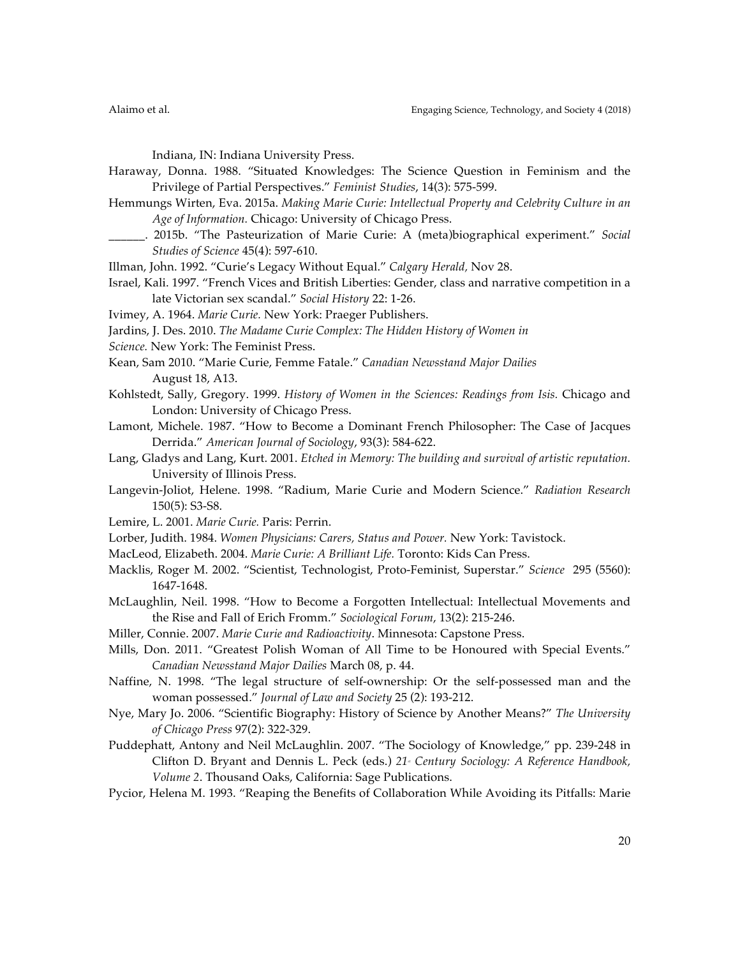Indiana, IN: Indiana University Press.

- Haraway, Donna. 1988. "Situated Knowledges: The Science Question in Feminism and the Privilege of Partial Perspectives." *Feminist Studies*, 14(3): 575-599.
- Hemmungs Wirten, Eva. 2015a. *Making Marie Curie: Intellectual Property and Celebrity Culture in an Age of Information.* Chicago: University of Chicago Press.
- \_\_\_\_\_\_. 2015b. "The Pasteurization of Marie Curie: A (meta)biographical experiment." *Social Studies of Science* 45(4): 597-610.
- Illman, John. 1992. "Curie's Legacy Without Equal." *Calgary Herald,* Nov 28.
- Israel, Kali. 1997. "French Vices and British Liberties: Gender, class and narrative competition in a late Victorian sex scandal." *Social History* 22: 1-26.
- Ivimey, A. 1964. *Marie Curie.* New York: Praeger Publishers.
- Jardins, J. Des. 2010. *The Madame Curie Complex: The Hidden History of Women in*
- *Science.* New York: The Feminist Press.
- Kean, Sam 2010. "Marie Curie, Femme Fatale." *Canadian Newsstand Major Dailies* August 18, A13.
- Kohlstedt, Sally, Gregory. 1999. *History of Women in the Sciences: Readings from Isis.* Chicago and London: University of Chicago Press.
- Lamont, Michele. 1987. "How to Become a Dominant French Philosopher: The Case of Jacques Derrida." *American Journal of Sociology*, 93(3): 584-622.
- Lang, Gladys and Lang, Kurt. 2001. *Etched in Memory: The building and survival of artistic reputation.*  University of Illinois Press.
- Langevin-Joliot, Helene. 1998. "Radium, Marie Curie and Modern Science." *Radiation Research*  150(5): S3-S8.
- Lemire, L. 2001. *Marie Curie.* Paris: Perrin.
- Lorber, Judith. 1984. *Women Physicians: Carers, Status and Power.* New York: Tavistock.
- MacLeod, Elizabeth. 2004. *Marie Curie: A Brilliant Life.* Toronto: Kids Can Press.
- Macklis, Roger M. 2002. "Scientist, Technologist, Proto-Feminist, Superstar." *Science* 295 (5560): 1647-1648.
- McLaughlin, Neil. 1998. "How to Become a Forgotten Intellectual: Intellectual Movements and the Rise and Fall of Erich Fromm." *Sociological Forum*, 13(2): 215-246.
- Miller, Connie. 2007. *Marie Curie and Radioactivity*. Minnesota: Capstone Press.
- Mills, Don. 2011. "Greatest Polish Woman of All Time to be Honoured with Special Events." *Canadian Newsstand Major Dailies* March 08, p. 44.
- Naffine, N. 1998. "The legal structure of self-ownership: Or the self-possessed man and the woman possessed." *Journal of Law and Society* 25 (2): 193-212.
- Nye, Mary Jo. 2006. "Scientific Biography: History of Science by Another Means?" *The University of Chicago Press* 97(2): 322-329.
- Puddephatt, Antony and Neil McLaughlin. 2007. "The Sociology of Knowledge," pp. 239-248 in Clifton D. Bryant and Dennis L. Peck (eds.) 21<sup>*c*</sup> *Century Sociology: A Reference Handbook, Volume 2*. Thousand Oaks, California: Sage Publications.
- Pycior, Helena M. 1993. "Reaping the Benefits of Collaboration While Avoiding its Pitfalls: Marie